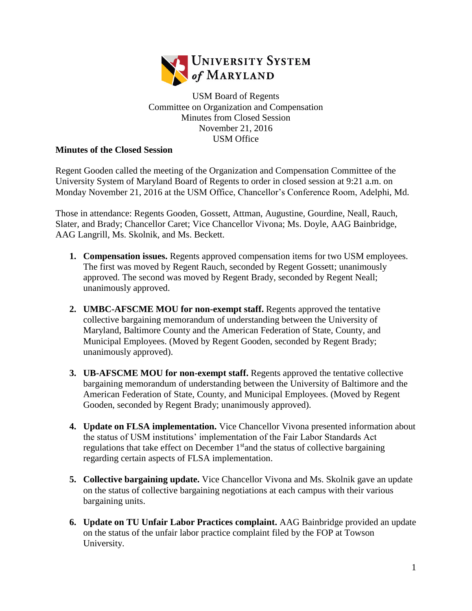

USM Board of Regents Committee on Organization and Compensation Minutes from Closed Session November 21, 2016 USM Office

## **Minutes of the Closed Session**

Regent Gooden called the meeting of the Organization and Compensation Committee of the University System of Maryland Board of Regents to order in closed session at 9:21 a.m. on Monday November 21, 2016 at the USM Office, Chancellor's Conference Room, Adelphi, Md.

Those in attendance: Regents Gooden, Gossett, Attman, Augustine, Gourdine, Neall, Rauch, Slater, and Brady; Chancellor Caret; Vice Chancellor Vivona; Ms. Doyle, AAG Bainbridge, AAG Langrill, Ms. Skolnik, and Ms. Beckett.

- **1. Compensation issues.** Regents approved compensation items for two USM employees. The first was moved by Regent Rauch, seconded by Regent Gossett; unanimously approved. The second was moved by Regent Brady, seconded by Regent Neall; unanimously approved.
- **2. UMBC-AFSCME MOU for non-exempt staff.** Regents approved the tentative collective bargaining memorandum of understanding between the University of Maryland, Baltimore County and the American Federation of State, County, and Municipal Employees. (Moved by Regent Gooden, seconded by Regent Brady; unanimously approved).
- **3. UB-AFSCME MOU for non-exempt staff.** Regents approved the tentative collective bargaining memorandum of understanding between the University of Baltimore and the American Federation of State, County, and Municipal Employees. (Moved by Regent Gooden, seconded by Regent Brady; unanimously approved).
- **4. Update on FLSA implementation.** Vice Chancellor Vivona presented information about the status of USM institutions' implementation of the Fair Labor Standards Act regulations that take effect on December 1<sup>st</sup> and the status of collective bargaining regarding certain aspects of FLSA implementation.
- **5. Collective bargaining update.** Vice Chancellor Vivona and Ms. Skolnik gave an update on the status of collective bargaining negotiations at each campus with their various bargaining units.
- **6. Update on TU Unfair Labor Practices complaint.** AAG Bainbridge provided an update on the status of the unfair labor practice complaint filed by the FOP at Towson University.